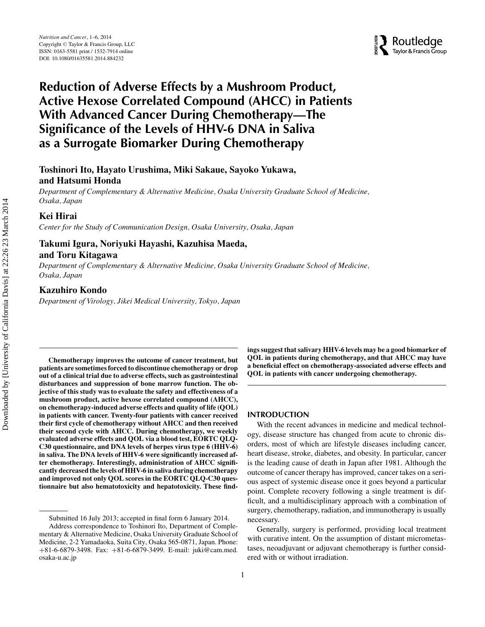**A**<br>Routledge Taylor & Francis Group

# **Reduction of Adverse Effects by a Mushroom Product, Active Hexose Correlated Compound (AHCC) in Patients With Advanced Cancer During Chemotherapy—The Significance of the Levels of HHV-6 DNA in Saliva as a Surrogate Biomarker During Chemotherapy**

# **Toshinori Ito, Hayato Urushima, Miki Sakaue, Sayoko Yukawa, and Hatsumi Honda**

*Department of Complementary & Alternative Medicine, Osaka University Graduate School of Medicine, Osaka, Japan*

## **Kei Hirai**

*Center for the Study of Communication Design, Osaka University, Osaka, Japan*

## **Takumi Igura, Noriyuki Hayashi, Kazuhisa Maeda, and Toru Kitagawa**

*Department of Complementary & Alternative Medicine, Osaka University Graduate School of Medicine, Osaka, Japan*

#### **Kazuhiro Kondo**

*Department of Virology, Jikei Medical University, Tokyo, Japan*

**Chemotherapy improves the outcome of cancer treatment, but patients are sometimes forced to discontinue chemotherapy or drop out of a clinical trial due to adverse effects, such as gastrointestinal disturbances and suppression of bone marrow function. The objective of this study was to evaluate the safety and effectiveness of a mushroom product, active hexose correlated compound (AHCC), on chemotherapy-induced adverse effects and quality of life (QOL) in patients with cancer. Twenty-four patients with cancer received their first cycle of chemotherapy without AHCC and then received their second cycle with AHCC. During chemotherapy, we weekly evaluated adverse effects and QOL via a blood test, EORTC QLQ-C30 questionnaire, and DNA levels of herpes virus type 6 (HHV-6) in saliva. The DNA levels of HHV-6 were significantly increased after chemotherapy. Interestingly, administration of AHCC significantly decreased the levels of HHV-6 in saliva during chemotherapy and improved not only QOL scores in the EORTC QLQ-C30 questionnaire but also hematotoxicity and hepatotoxicity. These find-** **ings suggest that salivary HHV-6 levels may be a good biomarker of QOL in patients during chemotherapy, and that AHCC may have a beneficial effect on chemotherapy-associated adverse effects and QOL in patients with cancer undergoing chemotherapy.**

## **INTRODUCTION**

With the recent advances in medicine and medical technology, disease structure has changed from acute to chronic disorders, most of which are lifestyle diseases including cancer, heart disease, stroke, diabetes, and obesity. In particular, cancer is the leading cause of death in Japan after 1981. Although the outcome of cancer therapy has improved, cancer takes on a serious aspect of systemic disease once it goes beyond a particular point. Complete recovery following a single treatment is difficult, and a multidisciplinary approach with a combination of surgery, chemotherapy, radiation, and immunotherapy is usually necessary.

Generally, surgery is performed, providing local treatment with curative intent. On the assumption of distant micrometastases, neoadjuvant or adjuvant chemotherapy is further considered with or without irradiation.

Submitted 16 July 2013; accepted in final form 6 January 2014.

Address correspondence to Toshinori Ito, Department of Complementary & Alternative Medicine, Osaka University Graduate School of Medicine, 2-2 Yamadaoka, Suita City, Osaka 565-0871, Japan. Phone: +81-6-6879-3498. Fax: +81-6-6879-3499. E-mail: juki@cam.med. osaka-u.ac.jp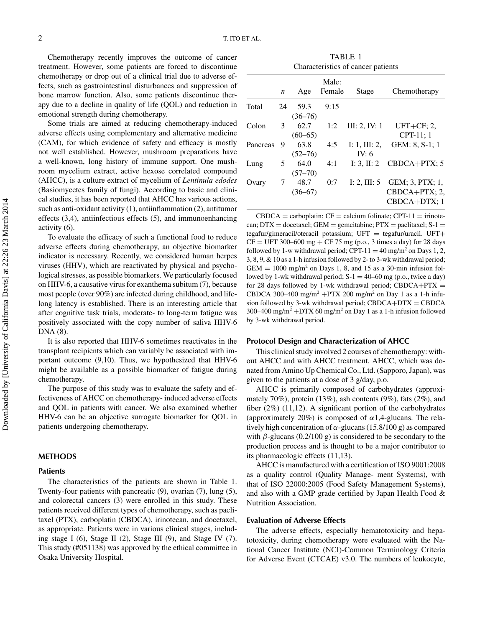Chemotherapy recently improves the outcome of cancer treatment. However, some patients are forced to discontinue chemotherapy or drop out of a clinical trial due to adverse effects, such as gastrointestinal disturbances and suppression of bone marrow function. Also, some patients discontinue therapy due to a decline in quality of life (QOL) and reduction in emotional strength during chemotherapy.

Some trials are aimed at reducing chemotherapy-induced adverse effects using complementary and alternative medicine (CAM), for which evidence of safety and efficacy is mostly not well established. However, mushroom preparations have a well-known, long history of immune support. One mushroom mycelium extract, active hexose correlated compound (AHCC), is a culture extract of mycelium of *Lentinula edodes* (Basiomycetes family of fungi). According to basic and clinical studies, it has been reported that AHCC has various actions, such as anti-oxidant activity (1), antiinflammation (2), antitumor effects (3,4), antiinfectious effects (5), and immunoenhancing activity (6).

To evaluate the efficacy of such a functional food to reduce adverse effects during chemotherapy, an objective biomarker indicator is necessary. Recently, we considered human herpes viruses (HHV), which are reactivated by physical and psychological stresses, as possible biomarkers. We particularly focused on HHV-6, a causative virus for exanthema subitum (7), because most people (over 90%) are infected during childhood, and lifelong latency is established. There is an interesting article that after cognitive task trials, moderate- to long-term fatigue was positively associated with the copy number of saliva HHV-6 DNA (8).

It is also reported that HHV-6 sometimes reactivates in the transplant recipients which can variably be associated with important outcome (9,10). Thus, we hypothesized that HHV-6 might be available as a possible biomarker of fatigue during chemotherapy.

The purpose of this study was to evaluate the safety and effectiveness of AHCC on chemotherapy- induced adverse effects and QOL in patients with cancer. We also examined whether HHV-6 can be an objective surrogate biomarker for QOL in patients undergoing chemotherapy.

#### **METHODS**

#### **Patients**

The characteristics of the patients are shown in Table 1. Twenty-four patients with pancreatic (9), ovarian (7), lung (5), and colorectal cancers (3) were enrolled in this study. These patients received different types of chemotherapy, such as paclitaxel (PTX), carboplatin (CBDCA), irinotecan, and docetaxel, as appropriate. Patients were in various clinical stages, including stage I (6), Stage II (2), Stage III (9), and Stage IV (7). This study (#051138) was approved by the ethical committee in Osaka University Hospital.

TABLE 1 Characteristics of cancer patients

|          | $\boldsymbol{n}$ | Age                 | Male:<br>Female | Stage                    | Chemotherapy                                      |
|----------|------------------|---------------------|-----------------|--------------------------|---------------------------------------------------|
| Total    | 24               | 59.3<br>$(36 - 76)$ | 9:15            |                          |                                                   |
| Colon    | 3                | 62.7<br>$(60 - 65)$ | 1:2             | III: 2, IV: 1            | $UFT+CF: 2$<br>CPT-11; 1                          |
| Pancreas | 9                | 63.8<br>$(52 - 76)$ | 4:5             | I: 1, III: 2,<br>IV: $6$ | GEM: 8, S-1; 1                                    |
| Lung     | 5                | 64.0<br>$(57 - 70)$ | 4:1             |                          | I: 3, II: 2 $CBDCA+PTX$ ; 5                       |
| Ovary    | 7                | 48.7<br>$(36 - 67)$ | 0:7             | I: 2, III: $5$           | GEM; 3, PTX; 1,<br>$CBDCA+PTX; 2$<br>CBDCA+DTX; 1 |

 $CBDCA = carboplatin$ ;  $CF = calcium folinate$ ;  $CPT-11 = irinote$ can;  $DTX =$  docetaxel;  $GEM =$  gemcitabine;  $PTX =$  paclitaxel;  $S-1 =$ tegafur/gimeracil/oteracil potassium; UFT = tegafur/uracil. UFT+  $CF = UFT 300–600 mg + CF 75 mg (p.o., 3 times a day) for 28 days$ followed by 1-w withdrawal period; CPT-11 = 40 mg/m<sup>2</sup> on Days 1, 2, 3, 8, 9, & 10 as a 1-h infusion followed by 2- to 3-wk withdrawal period;  $GEM = 1000$  mg/m<sup>2</sup> on Days 1, 8, and 15 as a 30-min infusion followed by 1-wk withdrawal period;  $S-1 = 40-60$  mg (p.o., twice a day) for 28 days followed by 1-wk withdrawal period; CBDCA+PTX  $=$ CBDCA 300–400 mg/m<sup>2</sup> +PTX 200 mg/m<sup>2</sup> on Day 1 as a 1-h infusion followed by 3-wk withdrawal period;  $CBDCA+DTX = CBDCA$ 300–400 mg/m<sup>2</sup> +DTX 60 mg/m<sup>2</sup> on Day 1 as a 1-h infusion followed by 3-wk withdrawal period.

#### **Protocol Design and Characterization of AHCC**

This clinical study involved 2 courses of chemotherapy: without AHCC and with AHCC treatment. AHCC, which was donated from Amino Up Chemical Co., Ltd. (Sapporo, Japan), was given to the patients at a dose of 3 g/day, p.o.

AHCC is primarily composed of carbohydrates (approximately 70%), protein  $(13\%)$ , ash contents  $(9\%)$ , fats  $(2\%)$ , and fiber (2%) (11,12). A significant portion of the carbohydrates (approximately 20%) is composed of  $\alpha$ 1,4-glucans. The relatively high concentration of  $\alpha$ -glucans (15.8/100 g) as compared with  $\beta$ -glucans (0.2/100 g) is considered to be secondary to the production process and is thought to be a major contributor to its pharmacologic effects (11,13).

AHCC is manufactured with a certification of ISO 9001:2008 as a quality control (Quality Manage- ment Systems), with that of ISO 22000:2005 (Food Safety Management Systems), and also with a GMP grade certified by Japan Health Food & Nutrition Association.

#### **Evaluation of Adverse Effects**

The adverse effects, especially hematotoxicity and hepatotoxicity, during chemotherapy were evaluated with the National Cancer Institute (NCI)-Common Terminology Criteria for Adverse Event (CTCAE) v3.0. The numbers of leukocyte,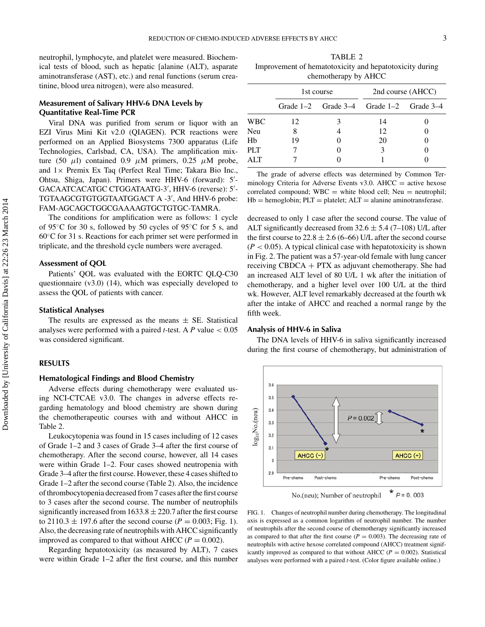neutrophil, lymphocyte, and platelet were measured. Biochemical tests of blood, such as hepatic [alanine (ALT), asparate aminotransferase (AST), etc.) and renal functions (serum creatinine, blood urea nitrogen), were also measured.

### **Measurement of Salivary HHV-6 DNA Levels by Quantitative Real-Time PCR**

Viral DNA was purified from serum or liquor with an EZI Virus Mini Kit v2.0 (QIAGEN). PCR reactions were performed on an Applied Biosystems 7300 apparatus (Life Technologies, Carlsbad, CA, USA). The amplification mixture (50  $\mu$ l) contained 0.9  $\mu$ M primers, 0.25  $\mu$ M probe, and  $1 \times$  Premix Ex Taq (Perfect Real Time; Takara Bio Inc., Ohtsu, Shiga, Japan). Primers were HHV-6 (forward): 5 - GACAATCACATGC CTGGATAATG-3 , HHV-6 (reverse): 5 - TGTAAGCGTGTGGTAATGGACT A -3 , And HHV-6 probe: FAM-AGCAGCTGGCGAAAAGTGCTGTGC-TAMRA.

The conditions for amplification were as follows: 1 cycle of 95◦C for 30 s, followed by 50 cycles of 95◦C for 5 s, and 60◦C for 31 s. Reactions for each primer set were performed in triplicate, and the threshold cycle numbers were averaged.

#### **Assessment of QOL**

Patients' QOL was evaluated with the EORTC QLQ-C30 questionnaire (v3.0) (14), which was especially developed to assess the QOL of patients with cancer.

#### **Statistical Analyses**

The results are expressed as the means  $\pm$  SE. Statistical analyses were performed with a paired *t-*test. A *P* value < 0.05 was considered significant.

#### **RESULTS**

#### **Hematological Findings and Blood Chemistry**

Adverse effects during chemotherapy were evaluated using NCI-CTCAE v3.0. The changes in adverse effects regarding hematology and blood chemistry are shown during the chemotherapeutic courses with and without AHCC in Table 2.

Leukocytopenia was found in 15 cases including of 12 cases of Grade 1–2 and 3 cases of Grade 3–4 after the first course of chemotherapy. After the second course, however, all 14 cases were within Grade 1–2. Four cases showed neutropenia with Grade 3–4 after the first course. However, these 4 cases shifted to Grade 1–2 after the second course (Table 2). Also, the incidence of thrombocytopenia decreased from 7 cases after the first course to 3 cases after the second course. The number of neutrophils significantly increased from  $1633.8 \pm 220.7$  after the first course to 2110.3  $\pm$  197.6 after the second course (*P* = 0.003; Fig. 1). Also, the decreasing rate of neutrophils with AHCC significantly improved as compared to that without AHCC ( $P = 0.002$ ).

Regarding hepatotoxicity (as measured by ALT), 7 cases were within Grade 1–2 after the first course, and this number

TABLE 2 Improvement of hematotoxicity and hepatotoxicity during chemotherapy by AHCC

|     |    | 1st course                                      | 2nd course (AHCC) |  |  |
|-----|----|-------------------------------------------------|-------------------|--|--|
|     |    | Grade $1-2$ Grade $3-4$ Grade $1-2$ Grade $3-4$ |                   |  |  |
| WBC | 12 | 3                                               | 14                |  |  |
| Neu | 8  |                                                 | 12                |  |  |
| Hb  | 19 |                                                 | 20                |  |  |
| PLT |    |                                                 | 3                 |  |  |
| ALT |    |                                                 |                   |  |  |
|     |    |                                                 |                   |  |  |

The grade of adverse effects was determined by Common Terminology Criteria for Adverse Events v3.0.  $A HCC =$  active hexose correlated compound;  $WBC =$  white blood cell; Neu = neutrophil;  $Hb =$  hemoglobin;  $PLT =$  platelet;  $ALT =$  alanine aminotransferase.

decreased to only 1 case after the second course. The value of ALT significantly decreased from  $32.6 \pm 5.4$  (7–108) U/L after the first course to  $22.8 \pm 2.6$  (6–66) U/L after the second course  $(P < 0.05)$ . A typical clinical case with hepatotoxicity is shown in Fig. 2. The patient was a 57-year-old female with lung cancer receiving CBDCA  $+$  PTX as adjuvant chemotherapy. She had an increased ALT level of 80 U/L 1 wk after the initiation of chemotherapy, and a higher level over 100 U/L at the third wk. However, ALT level remarkably decreased at the fourth wk after the intake of AHCC and reached a normal range by the fifth week.

#### **Analysis of HHV-6 in Saliva**

The DNA levels of HHV-6 in saliva significantly increased during the first course of chemotherapy, but administration of



FIG. 1. Changes of neutrophil number during chemotherapy. The longitudinal axis is expressed as a common logarithm of neutrophil number. The number of neutrophils after the second course of chemotherapy significantly increased as compared to that after the first course  $(P = 0.003)$ . The decreasing rate of neutrophils with active hexose correlated compound (AHCC) treatment significantly improved as compared to that without AHCC ( $P = 0.002$ ). Statistical analyses were performed with a paired *t-*test. (Color figure available online.)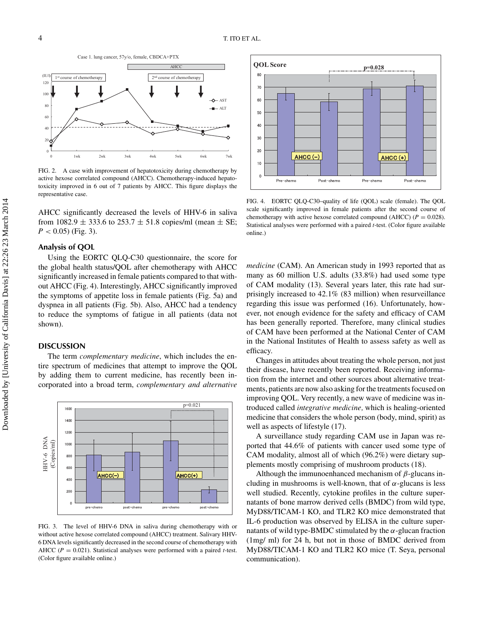

FIG. 2. A case with improvement of hepatotoxicity during chemotherapy by active hexose correlated compound (AHCC). Chemotherapy-induced hepatotoxicity improved in 6 out of 7 patients by AHCC. This figure displays the representative case.

AHCC significantly decreased the levels of HHV-6 in saliva from 1082.9  $\pm$  333.6 to 253.7  $\pm$  51.8 copies/ml (mean  $\pm$  SE;  $P < 0.05$ ) (Fig. 3).

## **Analysis of QOL**

Using the EORTC QLQ-C30 questionnaire, the score for the global health status/QOL after chemotherapy with AHCC significantly increased in female patients compared to that without AHCC (Fig. 4). Interestingly, AHCC significantly improved the symptoms of appetite loss in female patients (Fig. 5a) and dyspnea in all patients (Fig. 5b). Also, AHCC had a tendency to reduce the symptoms of fatigue in all patients (data not shown).

#### **DISCUSSION**

The term *complementary medicine*, which includes the entire spectrum of medicines that attempt to improve the QOL by adding them to current medicine, has recently been incorporated into a broad term, *complementary and alternative*



FIG. 3. The level of HHV-6 DNA in saliva during chemotherapy with or without active hexose correlated compound (AHCC) treatment. Salivary HHV-6 DNA levels significantly decreased in the second course of chemotherapy with AHCC ( $P = 0.021$ ). Statistical analyses were performed with a paired *t*-test. (Color figure available online.)



FIG. 4. EORTC QLQ-C30–quality of life (QOL) scale (female). The QOL scale significantly improved in female patients after the second course of chemotherapy with active hexose correlated compound (AHCC) ( $P = 0.028$ ). Statistical analyses were performed with a paired *t-*test. (Color figure available online.)

*medicine* (CAM). An American study in 1993 reported that as many as 60 million U.S. adults (33.8%) had used some type of CAM modality (13). Several years later, this rate had surprisingly increased to 42.1% (83 million) when resurveillance regarding this issue was performed (16). Unfortunately, however, not enough evidence for the safety and efficacy of CAM has been generally reported. Therefore, many clinical studies of CAM have been performed at the National Center of CAM in the National Institutes of Health to assess safety as well as efficacy.

Changes in attitudes about treating the whole person, not just their disease, have recently been reported. Receiving information from the internet and other sources about alternative treatments, patients are now also asking for the treatments focused on improving QOL. Very recently, a new wave of medicine was introduced called *integrative medicine,* which is healing-oriented medicine that considers the whole person (body, mind, spirit) as well as aspects of lifestyle (17).

A surveillance study regarding CAM use in Japan was reported that 44.6% of patients with cancer used some type of CAM modality, almost all of which (96.2%) were dietary supplements mostly comprising of mushroom products (18).

Although the immunoenhanced mechanism of  $\beta$ -glucans including in mushrooms is well-known, that of  $\alpha$ -glucans is less well studied. Recently, cytokine profiles in the culture supernatants of bone marrow derived cells (BMDC) from wild type, MyD88/TICAM-1 KO, and TLR2 KO mice demonstrated that IL-6 production was observed by ELISA in the culture supernatants of wild type-BMDC stimulated by the  $\alpha$ -glucan fraction (1mg/ ml) for 24 h, but not in those of BMDC derived from MyD88/TICAM-1 KO and TLR2 KO mice (T. Seya, personal communication).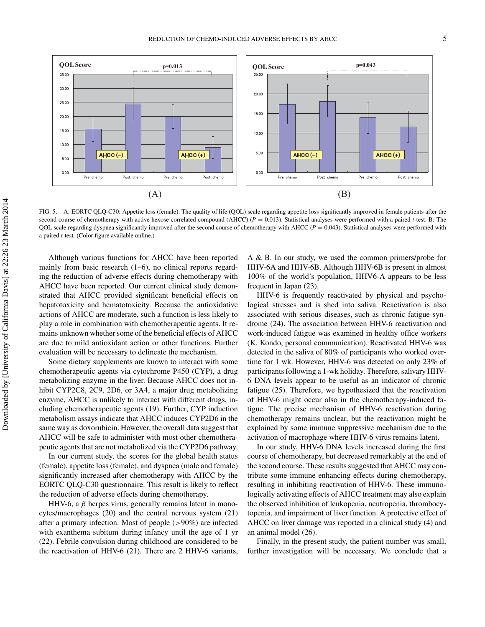

FIG. 5. A: EORTC QLQ-C30: Appetite loss (female). The quality of life (QOL) scale regarding appetite loss significantly improved in female patients after the second course of chemotherapy with active hexose correlated compound (AHCC)  $(P = 0.013)$ . Statistical analyses were performed with a paired *t*-test. B: The QOL scale regarding dyspnea significantly improved after the second course of chemotherapy with AHCC (*P* = 0.043). Statistical analyses were performed with a paired *t-*test. (Color figure available online.)

Although various functions for AHCC have been reported mainly from basic research  $(1–6)$ , no clinical reports regarding the reduction of adverse effects during chemotherapy with AHCC have been reported. Our current clinical study demonstrated that AHCC provided significant beneficial effects on hepatotoxicity and hematotoxicity. Because the antioxidative actions of AHCC are moderate, such a function is less likely to play a role in combination with chemotherapeutic agents. It remains unknown whether some of the beneficial effects of AHCC are due to mild antioxidant action or other functions. Further evaluation will be necessary to delineate the mechanism.

Some dietary supplements are known to interact with some chemotherapeutic agents via cytochrome P450 (CYP), a drug metabolizing enzyme in the liver. Because AHCC does not inhibit CYP2C8, 2C9, 2D6, or 3A4, a major drug metabolizing enzyme, AHCC is unlikely to interact with different drugs, including chemotherapeutic agents (19). Further, CYP induction metabolism assays indicate that AHCC induces CYP2D6 in the same way as doxorubicin. However, the overall data suggest that AHCC will be safe to administer with most other chemotherapeutic agents that are not metabolized via the CYP2D6 pathway.

In our current study, the scores for the global health status (female), appetite loss (female), and dyspnea (male and female) significantly increased after chemotherapy with AHCC by the EORTC QLQ-C30 questionnaire. This result is likely to reflect the reduction of adverse effects during chemotherapy.

HHV-6, a  $\beta$  herpes virus, generally remains latent in monocytes/macrophages (20) and the central nervous system (21) after a primary infection. Most of people (>90%) are infected with exanthema subitum during infancy until the age of 1 yr (22). Febrile convulsion during childhood are considered to be the reactivation of HHV-6 (21). There are 2 HHV-6 variants, A & B. In our study, we used the common primers/probe for HHV-6A and HHV-6B. Although HHV-6B is present in almost 100% of the world's population, HHV6-A appears to be less frequent in Japan (23).

HHV-6 is frequently reactivated by physical and psychological stresses and is shed into saliva. Reactivation is also associated with serious diseases, such as chronic fatigue syndrome (24). The association between HHV-6 reactivation and work-induced fatigue was examined in healthy office workers (K. Kondo, personal communication). Reactivated HHV-6 was detected in the saliva of 80% of participants who worked overtime for 1 wk. However, HHV-6 was detected on only 23% of participants following a 1-wk holiday. Therefore, salivary HHV-6 DNA levels appear to be useful as an indicator of chronic fatigue (25). Therefore, we hypothesized that the reactivation of HHV-6 might occur also in the chemotherapy-induced fatigue. The precise mechanism of HHV-6 reactivation during chemotherapy remains unclear, but the reactivation might be explained by some immune suppressive mechanism due to the activation of macrophage where HHV-6 virus remains latent.

In our study, HHV-6 DNA levels increased during the first course of chemotherapy, but decreased remarkably at the end of the second course. These results suggested that AHCC may contribute some immune enhancing effects during chemotherapy, resulting in inhibiting reactivation of HHV-6. These immunologically activating effects of AHCC treatment may also explain the observed inhibition of leukopenia, neutropenia, thrombocytopenia, and impairment of liver function. A protective effect of AHCC on liver damage was reported in a clinical study (4) and an animal model (26).

Finally, in the present study, the patient number was small, further investigation will be necessary. We conclude that a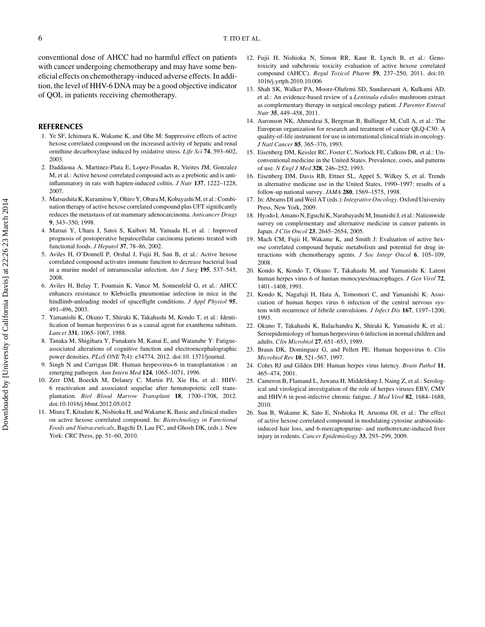conventional dose of AHCC had no harmful effect on patients with cancer undergoing chemotherapy and may have some beneficial effects on chemotherapy-induced adverse effects. In addition, the level of HHV-6 DNA may be a good objective indicator of QOL in patients receiving chemotherapy.

#### **REFERENCES**

- 1. Ye SF, Ichimura K, Wakame K, and Ohe M: Suppressive effects of active hexose correlated compound on the increased activity of hepatic and renal ornithine decarboxylase induced by oxidative stress. *Life Sci* **74**, 593–602, 2003.
- 2. Daddaoua A, Martinez-Plata E, Lopez-Posadas R, Vieites JM, Gonzalez M, et al.: Active hexose correlated compound acts as a prebiotic and is antiinflammatory in rats with hapten-induced colitis. *J Nutr* **137**, 1222–1228, 2007.
- 3. Matsushita K, Kuramitsu Y, Ohiro Y, Obara M, Kobayashi M, et al.: Combination therapy of active hexose correlated compound plus UFT significantly reduces the metastasis of rat mammary adenocarcinoma. *Anticancer Drugs* **9**, 343–350, 1998.
- 4. Matsui Y, Uhara J, Satoi S, Kaibori M, Yamada H, et al. : Improved prognosis of postoperative hepatocellular carcinoma patients treated with functional foods. *J Hepatol* **37**, 78–86, 2002.
- 5. Aviles H, O'Donnell P, Orshal J, Fujii H, Sun B, et al.: Active hexose correlated compound activates immune function to decrease bacterial load in a murine model of intramuscular infection. *Am J Surg* **195**, 537–545, 2008.
- 6. Aviles H, Belay T, Fountain K, Vance M, Sonnenfeld G, et al.: AHCC enhances resistance to Klebsiella pneumoniae infection in mice in the hindlimb-unloading model of spaceflight conditions. *J Appl Physiol* **95**, 491–496, 2003.
- 7. Yamanishi K, Okuno T, Shiraki K, Takahashi M, Kondo T, et al.: Identification of human herpesvirus 6 as a causal agent for exanthema subitum. *Lancet* **331**, 1065–1067, 1988.
- 8. Tanaka M, Shigihara Y, Funakura M, Kanai E, and Watanabe Y: Fatigueassociated alterations of cognitive function and electroencephalographic power densities. *PLoS ONE* **7**(4): e34774, 2012. doi:10. 1371/journal.
- 9. Singh N and Carrigan DR: Human herpesvirus-6 in transplantation : an emerging pathogen. *Ann Intern Med* **124**, 1065–1071, 1996.
- 10. Zerr DM, Boeckh M, Delaney C, Martin PJ, Xie Hu, et al.: HHV-6 reactivation and associated sequelae after hematopoietic cell transplantation. *Biol Blood Marrow Transplant* **18**, 1700–1708, 2012. doi:10.1016/j.bbmt.2012.05.012
- 11. Miura T, Kitadate K, Nishioka H, and Wakame K. Basic and clinical studies on active hexose correlated compound. In: *Biotechnology in Functional Foods and Nutraceuticals*, Bagchi D, Lau FC, and Ghosh DK, (eds.). New York: CRC Press, pp. 51–60, 2010.
- 12. Fujii H, Nishioka N, Simon RR, Kaur R, Lynch B, et al.: Genotoxicity and subchronic toxicity evaluation of active hexose correlated compound (AHCC). *Regul Toxicol Pharm* **59**, 237–250, 2011. doi:10. 1016/j.yrtph.2010.10.006
- 13. Shah SK, Walker PA, Moore-Olufemi SD, Sundaresant A, Kulkami AD, et al.: An evidence-based review of a *Lentinula edodes* mushroom extract as complementary therapy in surgical oncology patient. *J Parenter Enteral Nutr* **35**, 449–458, 2011.
- 14. Aaronson NK, Ahmedzai S, Bergman B, Bullinger M, Cull A, et al.: The European organization for research and treatment of cancer QLQ-C30: A quality-of-life instrument for use in international clinical trials in oncology. *J Natl Cancer* **85**, 365–376, 1993.
- 15. Eisenberg DM, Kessler RC, Foster C, Norlock FE, Calkins DR, et al.: Unconventional medicine in the United States. Prevalence, costs, and patterns of use. *N Engl J Med* **328**, 246–252, 1993.
- 16. Eisenberg DM, Davis RB, Ettner SL, Appel S, Wilkey S, et al. Trends in alternative medicine use in the United States, 1990–1997: results of a follow-up national survey. *JAMA* **280**, 1569–1575, 1998.
- 17. In: Abrams DI and Weil AT (eds.): *Integrative Oncology*. Oxford University Press, New York, 2009.
- 18. Hyodo I, Amano N, Eguchi K, Narabayashi M, Imanishi J, et al.: Nationwide survey on complementary and alternative medicine in cancer patients in Japan. *J Clin Oncol* **23**, 2645–2654, 2005.
- 19. Mach CM, Fujii H, Wakame K, and Smith J: Evaluation of active hexose correlated compound hepatic metabolism and potential for drug interactions with chemotherapy agents. *J Soc Integr Oncol* **6**, 105–109, 2008.
- 20. Kondo K, Kondo T, Okuno T, Takahashi M, and Yamanishi K: Latent human herpes virus 6 of human monocytes/macrophages. *J Gen Virol* **72**, 1401–1408, 1991.
- 21. Kondo K, Nagafuji H, Hata A, Tomomori C, and Yamanishi K: Association of human herpes virus 6 infection of the central nervous system with recurrence of febrile convulsions. *J Infect Dis* **167**, 1197–1200, 1993.
- 22. Okuno T, Takahashi K, Balachandra K, Shiraki K, Yamanishi K, et al.: Seroepidemiology of human herpesvirus 6 infection in normal children and adults. *Clin Microbiol* **27**, 651–653, 1989.
- 23. Braun DK, Dominguez G, and Pellett PE: Human herpesvirus 6. *Clin Microbiol Rev* **10**, 521–567, 1997.
- 24. Cohrs RJ and Gilden DH: Human herpes virus latency. *Brain Pathol* **11**, 465–474, 2001.
- 25. Cameron B, Flamand L, Juwana H, Middeldorp J, Naing Z, et al.: Serological and virological investigation of the role of herpes viruses EBV, CMV and HHV-6 in post-infective chronic fatigue. *J Med Virol* **82**, 1684–1688, 2010.
- 26. Sun B, Wakame K, Sato E, Nishioka H, Aruoma OI, et al.: The effect of active hexose correlated compound in modulating cytosine arabinosideinduced hair loss, and 6-mercaptopurine- and methotrexate-induced liver injury in rodents. *Cancer Epidemiology* **33**, 293–299, 2009.